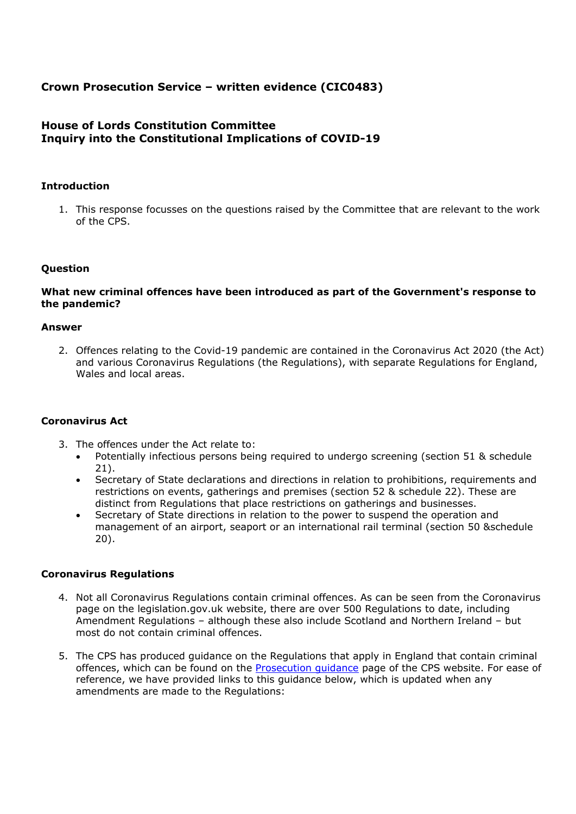# **Crown Prosecution Service – written evidence (CIC0483)**

# **House of Lords Constitution Committee Inquiry into the Constitutional Implications of COVID-19**

# **Introduction**

1. This response focusses on the questions raised by the Committee that are relevant to the work of the CPS.

## **Question**

### **What new criminal offences have been introduced as part of the Government's response to the pandemic?**

#### **Answer**

2. Offences relating to the Covid-19 pandemic are contained in the Coronavirus Act 2020 (the Act) and various Coronavirus Regulations (the Regulations), with separate Regulations for England, Wales and local areas.

#### **Coronavirus Act**

- 3. The offences under the Act relate to:
	- Potentially infectious persons being required to undergo screening (section 51 & schedule 21).
	- Secretary of State declarations and directions in relation to prohibitions, requirements and restrictions on events, gatherings and premises (section 52 & schedule 22). These are distinct from Regulations that place restrictions on gatherings and businesses.
	- Secretary of State directions in relation to the power to suspend the operation and management of an airport, seaport or an international rail terminal (section 50 &schedule 20).

#### **Coronavirus Regulations**

- 4. Not all Coronavirus Regulations contain criminal offences. As can be seen from the [Coronavirus](https://www.legislation.gov.uk/primary+secondary?title=The%20Coronavirus%20Regulations) [page](https://www.legislation.gov.uk/primary+secondary?title=The%20Coronavirus%20Regulations) on the legislation.gov.uk website, there are over 500 Regulations to date, including Amendment Regulations – although these also include Scotland and Northern Ireland – but most do not contain criminal offences.
- 5. The CPS has produced guidance on the Regulations that apply in England that contain criminal offences, which can be found on the [Prosecution](https://www.cps.gov.uk/prosecution-guidance) [guidance](https://www.cps.gov.uk/prosecution-guidance) page of the CPS website. For ease of reference, we have provided links to this guidance below, which is updated when any amendments are made to the Regulations: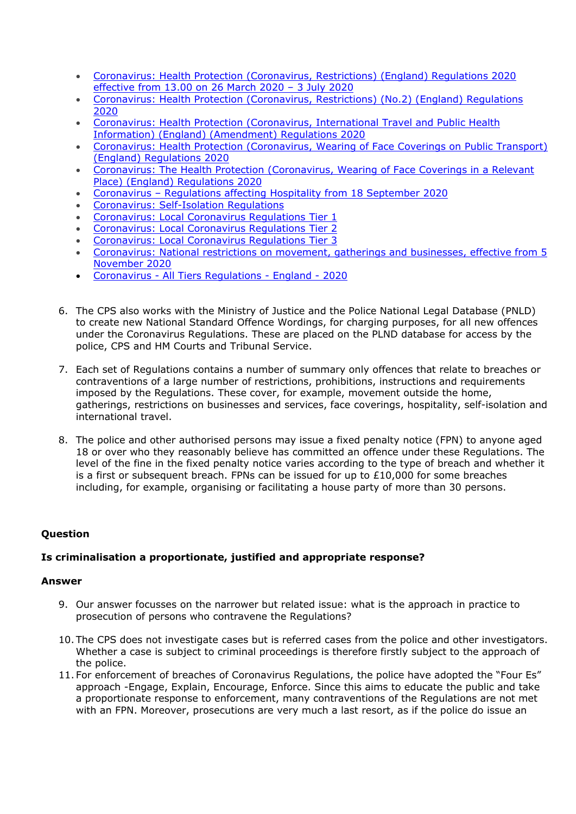- [Coronavirus:](https://www.cps.gov.uk/legal-guidance/coronavirus-health-protection-coronavirus-restrictions-england-regulations-2020) [Health](https://www.cps.gov.uk/legal-guidance/coronavirus-health-protection-coronavirus-restrictions-england-regulations-2020) [Protection](https://www.cps.gov.uk/legal-guidance/coronavirus-health-protection-coronavirus-restrictions-england-regulations-2020) [\(Coronavirus,](https://www.cps.gov.uk/legal-guidance/coronavirus-health-protection-coronavirus-restrictions-england-regulations-2020) [Restrictions\)](https://www.cps.gov.uk/legal-guidance/coronavirus-health-protection-coronavirus-restrictions-england-regulations-2020) [\(England\)](https://www.cps.gov.uk/legal-guidance/coronavirus-health-protection-coronavirus-restrictions-england-regulations-2020) [Regulations](https://www.cps.gov.uk/legal-guidance/coronavirus-health-protection-coronavirus-restrictions-england-regulations-2020) [2020](https://www.cps.gov.uk/legal-guidance/coronavirus-health-protection-coronavirus-restrictions-england-regulations-2020) [effective](https://www.cps.gov.uk/legal-guidance/coronavirus-health-protection-coronavirus-restrictions-england-regulations-2020) [from](https://www.cps.gov.uk/legal-guidance/coronavirus-health-protection-coronavirus-restrictions-england-regulations-2020) [13.00](https://www.cps.gov.uk/legal-guidance/coronavirus-health-protection-coronavirus-restrictions-england-regulations-2020) [on](https://www.cps.gov.uk/legal-guidance/coronavirus-health-protection-coronavirus-restrictions-england-regulations-2020) [26](https://www.cps.gov.uk/legal-guidance/coronavirus-health-protection-coronavirus-restrictions-england-regulations-2020) [March](https://www.cps.gov.uk/legal-guidance/coronavirus-health-protection-coronavirus-restrictions-england-regulations-2020) [2020](https://www.cps.gov.uk/legal-guidance/coronavirus-health-protection-coronavirus-restrictions-england-regulations-2020) [–](https://www.cps.gov.uk/legal-guidance/coronavirus-health-protection-coronavirus-restrictions-england-regulations-2020) [3](https://www.cps.gov.uk/legal-guidance/coronavirus-health-protection-coronavirus-restrictions-england-regulations-2020) [July](https://www.cps.gov.uk/legal-guidance/coronavirus-health-protection-coronavirus-restrictions-england-regulations-2020) [2020](https://www.cps.gov.uk/legal-guidance/coronavirus-health-protection-coronavirus-restrictions-england-regulations-2020)
- [Coronavirus:](https://www.cps.gov.uk/legal-guidance/coronavirus-health-protection-coronavirus-restrictions-no2-england-regulations-2020) [Health](https://www.cps.gov.uk/legal-guidance/coronavirus-health-protection-coronavirus-restrictions-no2-england-regulations-2020) [Protection](https://www.cps.gov.uk/legal-guidance/coronavirus-health-protection-coronavirus-restrictions-no2-england-regulations-2020) [\(Coronavirus,](https://www.cps.gov.uk/legal-guidance/coronavirus-health-protection-coronavirus-restrictions-no2-england-regulations-2020) [Restrictions\)](https://www.cps.gov.uk/legal-guidance/coronavirus-health-protection-coronavirus-restrictions-no2-england-regulations-2020) [\(No.2\)](https://www.cps.gov.uk/legal-guidance/coronavirus-health-protection-coronavirus-restrictions-no2-england-regulations-2020) [\(England\)](https://www.cps.gov.uk/legal-guidance/coronavirus-health-protection-coronavirus-restrictions-no2-england-regulations-2020) [Regulations](https://www.cps.gov.uk/legal-guidance/coronavirus-health-protection-coronavirus-restrictions-no2-england-regulations-2020) [2020](https://www.cps.gov.uk/legal-guidance/coronavirus-health-protection-coronavirus-restrictions-no2-england-regulations-2020)
- [Coronavirus:](https://www.cps.gov.uk/legal-guidance/coronavirus-health-protection-coronavirus-international-travel-and-public-health) [Health](https://www.cps.gov.uk/legal-guidance/coronavirus-health-protection-coronavirus-international-travel-and-public-health) [Protection](https://www.cps.gov.uk/legal-guidance/coronavirus-health-protection-coronavirus-international-travel-and-public-health) [\(Coronavirus,](https://www.cps.gov.uk/legal-guidance/coronavirus-health-protection-coronavirus-international-travel-and-public-health) [International](https://www.cps.gov.uk/legal-guidance/coronavirus-health-protection-coronavirus-international-travel-and-public-health) [Travel](https://www.cps.gov.uk/legal-guidance/coronavirus-health-protection-coronavirus-international-travel-and-public-health) [and](https://www.cps.gov.uk/legal-guidance/coronavirus-health-protection-coronavirus-international-travel-and-public-health) [Public](https://www.cps.gov.uk/legal-guidance/coronavirus-health-protection-coronavirus-international-travel-and-public-health) [Health](https://www.cps.gov.uk/legal-guidance/coronavirus-health-protection-coronavirus-international-travel-and-public-health) [Information\)](https://www.cps.gov.uk/legal-guidance/coronavirus-health-protection-coronavirus-international-travel-and-public-health) [\(England\)](https://www.cps.gov.uk/legal-guidance/coronavirus-health-protection-coronavirus-international-travel-and-public-health) [\(Amendment\)](https://www.cps.gov.uk/legal-guidance/coronavirus-health-protection-coronavirus-international-travel-and-public-health) [Regulations](https://www.cps.gov.uk/legal-guidance/coronavirus-health-protection-coronavirus-international-travel-and-public-health) [2020](https://www.cps.gov.uk/legal-guidance/coronavirus-health-protection-coronavirus-international-travel-and-public-health)
- [Coronavirus:](https://www.cps.gov.uk/legal-guidance/coronavirus-health-protection-coronavirus-wearing-face-coverings-public-transport) [Health](https://www.cps.gov.uk/legal-guidance/coronavirus-health-protection-coronavirus-wearing-face-coverings-public-transport) [Protection](https://www.cps.gov.uk/legal-guidance/coronavirus-health-protection-coronavirus-wearing-face-coverings-public-transport) [\(Coronavirus,](https://www.cps.gov.uk/legal-guidance/coronavirus-health-protection-coronavirus-wearing-face-coverings-public-transport) [Wearing](https://www.cps.gov.uk/legal-guidance/coronavirus-health-protection-coronavirus-wearing-face-coverings-public-transport) [of](https://www.cps.gov.uk/legal-guidance/coronavirus-health-protection-coronavirus-wearing-face-coverings-public-transport) [Face](https://www.cps.gov.uk/legal-guidance/coronavirus-health-protection-coronavirus-wearing-face-coverings-public-transport) [Coverings](https://www.cps.gov.uk/legal-guidance/coronavirus-health-protection-coronavirus-wearing-face-coverings-public-transport) [on](https://www.cps.gov.uk/legal-guidance/coronavirus-health-protection-coronavirus-wearing-face-coverings-public-transport) [Public](https://www.cps.gov.uk/legal-guidance/coronavirus-health-protection-coronavirus-wearing-face-coverings-public-transport) [Transport\)](https://www.cps.gov.uk/legal-guidance/coronavirus-health-protection-coronavirus-wearing-face-coverings-public-transport) [\(England\)](https://www.cps.gov.uk/legal-guidance/coronavirus-health-protection-coronavirus-wearing-face-coverings-public-transport) [Regulations](https://www.cps.gov.uk/legal-guidance/coronavirus-health-protection-coronavirus-wearing-face-coverings-public-transport) [2020](https://www.cps.gov.uk/legal-guidance/coronavirus-health-protection-coronavirus-wearing-face-coverings-public-transport)
- [Coronavirus:](https://www.cps.gov.uk/legal-guidance/coronavirus-health-protection-coronavirus-wearing-face-coverings-relevant-place) [The](https://www.cps.gov.uk/legal-guidance/coronavirus-health-protection-coronavirus-wearing-face-coverings-relevant-place) [Health](https://www.cps.gov.uk/legal-guidance/coronavirus-health-protection-coronavirus-wearing-face-coverings-relevant-place) [Protection](https://www.cps.gov.uk/legal-guidance/coronavirus-health-protection-coronavirus-wearing-face-coverings-relevant-place) [\(Coronavirus,](https://www.cps.gov.uk/legal-guidance/coronavirus-health-protection-coronavirus-wearing-face-coverings-relevant-place) [Wearing](https://www.cps.gov.uk/legal-guidance/coronavirus-health-protection-coronavirus-wearing-face-coverings-relevant-place) [of](https://www.cps.gov.uk/legal-guidance/coronavirus-health-protection-coronavirus-wearing-face-coverings-relevant-place) [Face](https://www.cps.gov.uk/legal-guidance/coronavirus-health-protection-coronavirus-wearing-face-coverings-relevant-place) [Coverings](https://www.cps.gov.uk/legal-guidance/coronavirus-health-protection-coronavirus-wearing-face-coverings-relevant-place) [in](https://www.cps.gov.uk/legal-guidance/coronavirus-health-protection-coronavirus-wearing-face-coverings-relevant-place) [a](https://www.cps.gov.uk/legal-guidance/coronavirus-health-protection-coronavirus-wearing-face-coverings-relevant-place) [Relevant](https://www.cps.gov.uk/legal-guidance/coronavirus-health-protection-coronavirus-wearing-face-coverings-relevant-place) [Place\)](https://www.cps.gov.uk/legal-guidance/coronavirus-health-protection-coronavirus-wearing-face-coverings-relevant-place) [\(England\)](https://www.cps.gov.uk/legal-guidance/coronavirus-health-protection-coronavirus-wearing-face-coverings-relevant-place) [Regulations](https://www.cps.gov.uk/legal-guidance/coronavirus-health-protection-coronavirus-wearing-face-coverings-relevant-place) [2020](https://www.cps.gov.uk/legal-guidance/coronavirus-health-protection-coronavirus-wearing-face-coverings-relevant-place)
- [Coronavirus](https://www.cps.gov.uk/legal-guidance/coronavirus-regulations-affecting-hospitality-18-september-2020) [–](https://www.cps.gov.uk/legal-guidance/coronavirus-regulations-affecting-hospitality-18-september-2020) [Regulations](https://www.cps.gov.uk/legal-guidance/coronavirus-regulations-affecting-hospitality-18-september-2020) [affecting](https://www.cps.gov.uk/legal-guidance/coronavirus-regulations-affecting-hospitality-18-september-2020) [Hospitality](https://www.cps.gov.uk/legal-guidance/coronavirus-regulations-affecting-hospitality-18-september-2020) [from](https://www.cps.gov.uk/legal-guidance/coronavirus-regulations-affecting-hospitality-18-september-2020) [18](https://www.cps.gov.uk/legal-guidance/coronavirus-regulations-affecting-hospitality-18-september-2020) [September](https://www.cps.gov.uk/legal-guidance/coronavirus-regulations-affecting-hospitality-18-september-2020) [2020](https://www.cps.gov.uk/legal-guidance/coronavirus-regulations-affecting-hospitality-18-september-2020)
- [Coronavirus:](https://www.cps.gov.uk/legal-guidance/coronavirus-self-isolation-regulations) [Self-Isolation](https://www.cps.gov.uk/legal-guidance/coronavirus-self-isolation-regulations) [Regulations](https://www.cps.gov.uk/legal-guidance/coronavirus-self-isolation-regulations)
- [Coronavirus:](https://www.cps.gov.uk/legal-guidance/coronavirus-local-coronavirus-regulations-tier-1) [Local](https://www.cps.gov.uk/legal-guidance/coronavirus-local-coronavirus-regulations-tier-1) [Coronavirus](https://www.cps.gov.uk/legal-guidance/coronavirus-local-coronavirus-regulations-tier-1) [Regulations](https://www.cps.gov.uk/legal-guidance/coronavirus-local-coronavirus-regulations-tier-1) [Tier](https://www.cps.gov.uk/legal-guidance/coronavirus-local-coronavirus-regulations-tier-1) [1](https://www.cps.gov.uk/legal-guidance/coronavirus-local-coronavirus-regulations-tier-1)
- [Coronavirus:](https://www.cps.gov.uk/legal-guidance/coronavirus-local-coronavirus-regulations-tier-2) [Local](https://www.cps.gov.uk/legal-guidance/coronavirus-local-coronavirus-regulations-tier-2) [Coronavirus](https://www.cps.gov.uk/legal-guidance/coronavirus-local-coronavirus-regulations-tier-2) [Regulations](https://www.cps.gov.uk/legal-guidance/coronavirus-local-coronavirus-regulations-tier-2) [Tier](https://www.cps.gov.uk/legal-guidance/coronavirus-local-coronavirus-regulations-tier-2) [2](https://www.cps.gov.uk/legal-guidance/coronavirus-local-coronavirus-regulations-tier-2)
- [Coronavirus:](https://www.cps.gov.uk/legal-guidance/coronavirus-local-coronavirus-regulations-tier-3) [Local](https://www.cps.gov.uk/legal-guidance/coronavirus-local-coronavirus-regulations-tier-3) [Coronavirus](https://www.cps.gov.uk/legal-guidance/coronavirus-local-coronavirus-regulations-tier-3) [Regulations](https://www.cps.gov.uk/legal-guidance/coronavirus-local-coronavirus-regulations-tier-3) [Tier](https://www.cps.gov.uk/legal-guidance/coronavirus-local-coronavirus-regulations-tier-3) [3](https://www.cps.gov.uk/legal-guidance/coronavirus-local-coronavirus-regulations-tier-3)
- [Coronavirus:](https://www.cps.gov.uk/legal-guidance/coronavirus-national-restrictions-movement-gatherings-and-businesses-effective-5) [National](https://www.cps.gov.uk/legal-guidance/coronavirus-national-restrictions-movement-gatherings-and-businesses-effective-5) [restrictions](https://www.cps.gov.uk/legal-guidance/coronavirus-national-restrictions-movement-gatherings-and-businesses-effective-5) [on](https://www.cps.gov.uk/legal-guidance/coronavirus-national-restrictions-movement-gatherings-and-businesses-effective-5) [movement,](https://www.cps.gov.uk/legal-guidance/coronavirus-national-restrictions-movement-gatherings-and-businesses-effective-5) [gatherings](https://www.cps.gov.uk/legal-guidance/coronavirus-national-restrictions-movement-gatherings-and-businesses-effective-5) [and](https://www.cps.gov.uk/legal-guidance/coronavirus-national-restrictions-movement-gatherings-and-businesses-effective-5) [businesses,](https://www.cps.gov.uk/legal-guidance/coronavirus-national-restrictions-movement-gatherings-and-businesses-effective-5) [effective](https://www.cps.gov.uk/legal-guidance/coronavirus-national-restrictions-movement-gatherings-and-businesses-effective-5) [from](https://www.cps.gov.uk/legal-guidance/coronavirus-national-restrictions-movement-gatherings-and-businesses-effective-5) [5](https://www.cps.gov.uk/legal-guidance/coronavirus-national-restrictions-movement-gatherings-and-businesses-effective-5) [November](https://www.cps.gov.uk/legal-guidance/coronavirus-national-restrictions-movement-gatherings-and-businesses-effective-5) [2020](https://www.cps.gov.uk/legal-guidance/coronavirus-national-restrictions-movement-gatherings-and-businesses-effective-5)
- [Coronavirus](https://www.cps.gov.uk/legal-guidance/coronavirus-health-protection-coronavius-restrictions-all-tiers-england-regulations) [-](https://www.cps.gov.uk/legal-guidance/coronavirus-health-protection-coronavius-restrictions-all-tiers-england-regulations) [All](https://www.cps.gov.uk/legal-guidance/coronavirus-health-protection-coronavius-restrictions-all-tiers-england-regulations) [Tiers](https://www.cps.gov.uk/legal-guidance/coronavirus-health-protection-coronavius-restrictions-all-tiers-england-regulations) [Regulations](https://www.cps.gov.uk/legal-guidance/coronavirus-health-protection-coronavius-restrictions-all-tiers-england-regulations) [-](https://www.cps.gov.uk/legal-guidance/coronavirus-health-protection-coronavius-restrictions-all-tiers-england-regulations) [England](https://www.cps.gov.uk/legal-guidance/coronavirus-health-protection-coronavius-restrictions-all-tiers-england-regulations) [-](https://www.cps.gov.uk/legal-guidance/coronavirus-health-protection-coronavius-restrictions-all-tiers-england-regulations) [2020](https://www.cps.gov.uk/legal-guidance/coronavirus-health-protection-coronavius-restrictions-all-tiers-england-regulations)
- 6. The CPS also works with the Ministry of Justice and the Police National Legal Database (PNLD) to create new National Standard Offence Wordings, for charging purposes, for all new offences under the Coronavirus Regulations. These are placed on the PLND database for access by the police, CPS and HM Courts and Tribunal Service.
- 7. Each set of Regulations contains a number of summary only offences that relate to breaches or contraventions of a large number of restrictions, prohibitions, instructions and requirements imposed by the Regulations. These cover, for example, movement outside the home, gatherings, restrictions on businesses and services, face coverings, hospitality, self-isolation and international travel.
- 8. The police and other authorised persons may issue a fixed penalty notice (FPN) to anyone aged 18 or over who they reasonably believe has committed an offence under these Regulations. The level of the fine in the fixed penalty notice varies according to the type of breach and whether it is a first or subsequent breach. FPNs can be issued for up to  $£10,000$  for some breaches including, for example, organising or facilitating a house party of more than 30 persons.

# **Question**

# **Is criminalisation a proportionate, justified and appropriate response?**

# **Answer**

- 9. Our answer focusses on the narrower but related issue: what is the approach in practice to prosecution of persons who contravene the Regulations?
- 10. The CPS does not investigate cases but is referred cases from the police and other investigators. Whether a case is subject to criminal proceedings is therefore firstly subject to the approach of the police.
- 11. For enforcement of breaches of Coronavirus Regulations, the police have adopted the "Four Es" approach -Engage, Explain, Encourage, Enforce. Since this aims to educate the public and take a proportionate response to enforcement, many contraventions of the Regulations are not met with an FPN. Moreover, prosecutions are very much a last resort, as if the police do issue an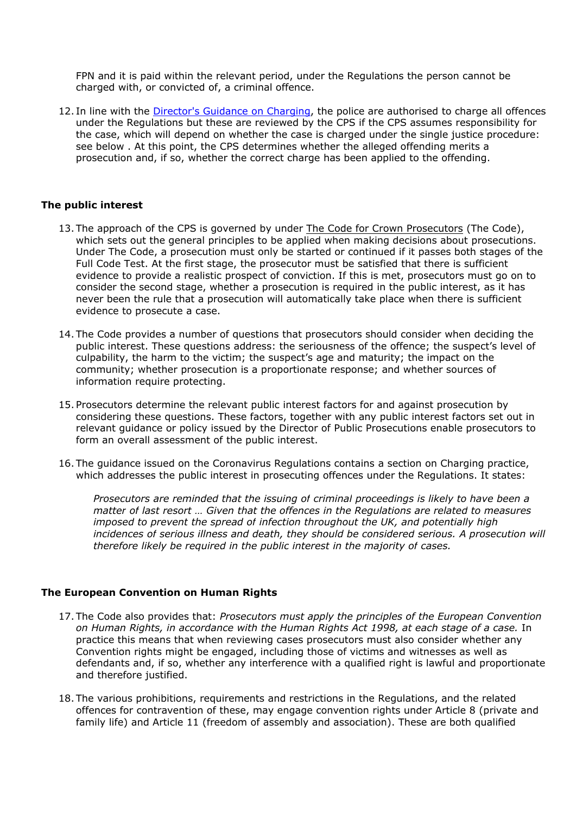FPN and it is paid within the relevant period, under the Regulations the person cannot be charged with, or convicted of, a criminal offence.

12. In line with the [Director's](https://www.cps.gov.uk/legal-guidance/charging-directors-guidance-2013-fifth-edition-may-2013-revised-arrangements) [Guidance](https://www.cps.gov.uk/legal-guidance/charging-directors-guidance-2013-fifth-edition-may-2013-revised-arrangements) [on](https://www.cps.gov.uk/legal-guidance/charging-directors-guidance-2013-fifth-edition-may-2013-revised-arrangements) [Charging,](https://www.cps.gov.uk/legal-guidance/charging-directors-guidance-2013-fifth-edition-may-2013-revised-arrangements) the police are authorised to charge all offences under the Regulations but these are reviewed by the CPS if the CPS assumes responsibility for the case, which will depend on whether the case is charged under the single justice procedure: see below . At this point, the CPS determines whether the alleged offending merits a prosecution and, if so, whether the correct charge has been applied to the offending.

#### **The public interest**

- 13. The approach of the CPS is governed by under [The](https://www.cps.gov.uk/publication/code-crown-prosecutors) [Code](https://www.cps.gov.uk/publication/code-crown-prosecutors) [for](https://www.cps.gov.uk/publication/code-crown-prosecutors) [Crown](https://www.cps.gov.uk/publication/code-crown-prosecutors) [Prosecutors](https://www.cps.gov.uk/publication/code-crown-prosecutors) (The Code), which sets out the general principles to be applied when making decisions about prosecutions. Under The Code, a prosecution must only be started or continued if it passes both stages of the Full Code Test. At the first stage, the prosecutor must be satisfied that there is sufficient evidence to provide a realistic prospect of conviction. If this is met, prosecutors must go on to consider the second stage, whether a prosecution is required in the public interest, as it has never been the rule that a prosecution will automatically take place when there is sufficient evidence to prosecute a case.
- 14. The Code provides a number of questions that prosecutors should consider when deciding the public interest. These questions address: the seriousness of the offence; the suspect's level of culpability, the harm to the victim; the suspect's age and maturity; the impact on the community; whether prosecution is a proportionate response; and whether sources of information require protecting.
- 15. Prosecutors determine the relevant public interest factors for and against prosecution by considering these questions. These factors, together with any public interest factors set out in relevant guidance or policy issued by the Director of Public Prosecutions enable prosecutors to form an overall assessment of the public interest.
- 16. The guidance issued on the Coronavirus Regulations contains a section on Charging practice, which addresses the public interest in prosecuting offences under the Regulations. It states:

*Prosecutors are reminded that the issuing of criminal proceedings is likely to have been a matter of last resort … Given that the offences in the Regulations are related to measures imposed to prevent the spread of infection throughout the UK, and potentially high incidences of serious illness and death, they should be considered serious. A prosecution will therefore likely be required in the public interest in the majority of cases.*

#### **The European Convention on Human Rights**

- 17. The Code also provides that: *Prosecutors must apply the principles of the European Convention on Human Rights, in accordance with the Human Rights Act 1998, at each stage of a case.* In practice this means that when reviewing cases prosecutors must also consider whether any Convention rights might be engaged, including those of victims and witnesses as well as defendants and, if so, whether any interference with a qualified right is lawful and proportionate and therefore justified.
- 18. The various prohibitions, requirements and restrictions in the Regulations, and the related offences for contravention of these, may engage convention rights under Article 8 (private and family life) and Article 11 (freedom of assembly and association). These are both qualified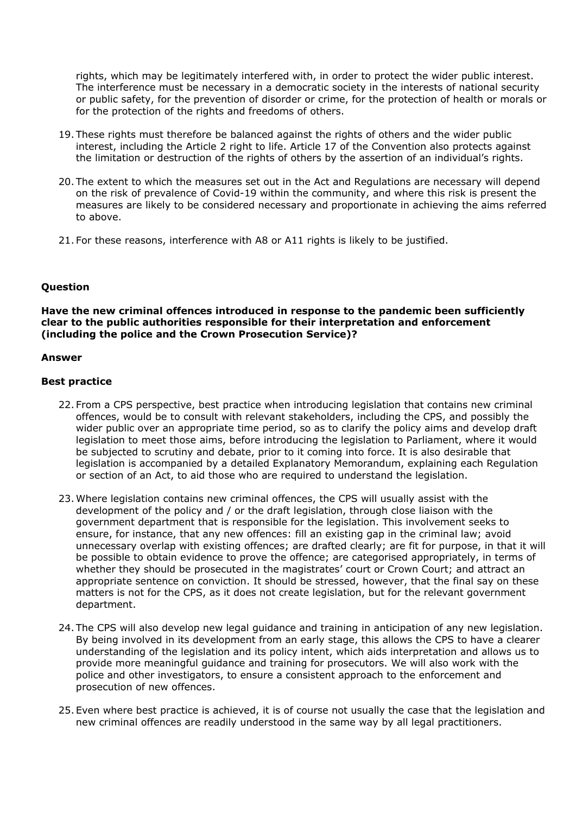rights, which may be legitimately interfered with, in order to protect the wider public interest. The interference must be necessary in a democratic society in the interests of national security or public safety, for the prevention of disorder or crime, for the protection of health or morals or for the protection of the rights and freedoms of others.

- 19. These rights must therefore be balanced against the rights of others and the wider public interest, including the Article 2 right to life. Article 17 of the Convention also protects against the limitation or destruction of the rights of others by the assertion of an individual's rights.
- 20. The extent to which the measures set out in the Act and Regulations are necessary will depend on the risk of prevalence of Covid-19 within the community, and where this risk is present the measures are likely to be considered necessary and proportionate in achieving the aims referred to above.
- 21. For these reasons, interference with A8 or A11 rights is likely to be justified.

# **Question**

**Have the new criminal offences introduced in response to the pandemic been sufficiently clear to the public authorities responsible for their interpretation and enforcement (including the police and the Crown Prosecution Service)?**

## **Answer**

## **Best practice**

- 22. From a CPS perspective, best practice when introducing legislation that contains new criminal offences, would be to consult with relevant stakeholders, including the CPS, and possibly the wider public over an appropriate time period, so as to clarify the policy aims and develop draft legislation to meet those aims, before introducing the legislation to Parliament, where it would be subjected to scrutiny and debate, prior to it coming into force. It is also desirable that legislation is accompanied by a detailed Explanatory Memorandum, explaining each Regulation or section of an Act, to aid those who are required to understand the legislation.
- 23. Where legislation contains new criminal offences, the CPS will usually assist with the development of the policy and / or the draft legislation, through close liaison with the government department that is responsible for the legislation. This involvement seeks to ensure, for instance, that any new offences: fill an existing gap in the criminal law; avoid unnecessary overlap with existing offences; are drafted clearly; are fit for purpose, in that it will be possible to obtain evidence to prove the offence; are categorised appropriately, in terms of whether they should be prosecuted in the magistrates' court or Crown Court; and attract an appropriate sentence on conviction. It should be stressed, however, that the final say on these matters is not for the CPS, as it does not create legislation, but for the relevant government department.
- 24. The CPS will also develop new legal guidance and training in anticipation of any new legislation. By being involved in its development from an early stage, this allows the CPS to have a clearer understanding of the legislation and its policy intent, which aids interpretation and allows us to provide more meaningful guidance and training for prosecutors. We will also work with the police and other investigators, to ensure a consistent approach to the enforcement and prosecution of new offences.
- 25. Even where best practice is achieved, it is of course not usually the case that the legislation and new criminal offences are readily understood in the same way by all legal practitioners.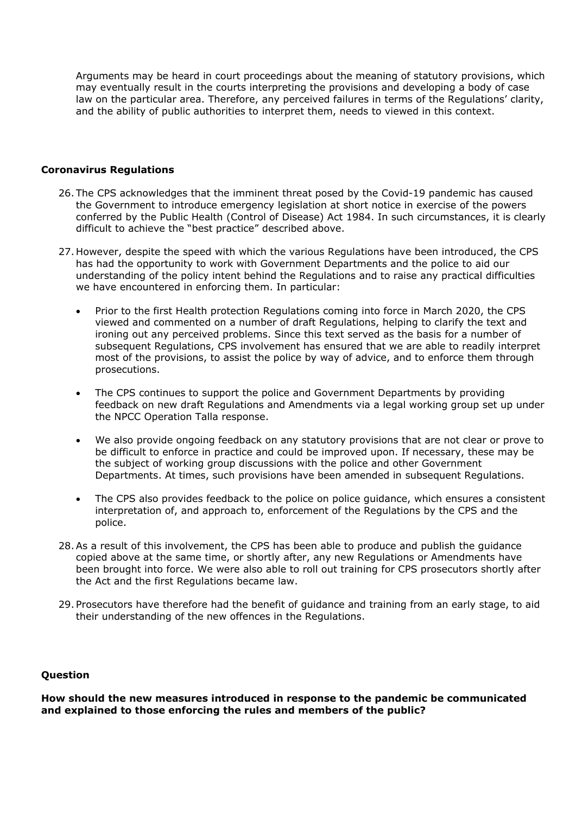Arguments may be heard in court proceedings about the meaning of statutory provisions, which may eventually result in the courts interpreting the provisions and developing a body of case law on the particular area. Therefore, any perceived failures in terms of the Regulations' clarity, and the ability of public authorities to interpret them, needs to viewed in this context.

## **Coronavirus Regulations**

- 26. The CPS acknowledges that the imminent threat posed by the Covid-19 pandemic has caused the Government to introduce emergency legislation at short notice in exercise of the powers conferred by the Public Health (Control of Disease) Act 1984. In such circumstances, it is clearly difficult to achieve the "best practice" described above.
- 27. However, despite the speed with which the various Regulations have been introduced, the CPS has had the opportunity to work with Government Departments and the police to aid our understanding of the policy intent behind the Regulations and to raise any practical difficulties we have encountered in enforcing them. In particular:
	- Prior to the first Health protection Regulations coming into force in March 2020, the CPS viewed and commented on a number of draft Regulations, helping to clarify the text and ironing out any perceived problems. Since this text served as the basis for a number of subsequent Regulations, CPS involvement has ensured that we are able to readily interpret most of the provisions, to assist the police by way of advice, and to enforce them through prosecutions.
	- The CPS continues to support the police and Government Departments by providing feedback on new draft Regulations and Amendments via a legal working group set up under the NPCC Operation Talla response.
	- We also provide ongoing feedback on any statutory provisions that are not clear or prove to be difficult to enforce in practice and could be improved upon. If necessary, these may be the subject of working group discussions with the police and other Government Departments. At times, such provisions have been amended in subsequent Regulations.
	- The CPS also provides feedback to the police on police guidance, which ensures a consistent interpretation of, and approach to, enforcement of the Regulations by the CPS and the police.
- 28.As a result of this involvement, the CPS has been able to produce and publish the guidance copied above at the same time, or shortly after, any new Regulations or Amendments have been brought into force. We were also able to roll out training for CPS prosecutors shortly after the Act and the first Regulations became law.
- 29. Prosecutors have therefore had the benefit of guidance and training from an early stage, to aid their understanding of the new offences in the Regulations.

#### **Question**

**How should the new measures introduced in response to the pandemic be communicated and explained to those enforcing the rules and members of the public?**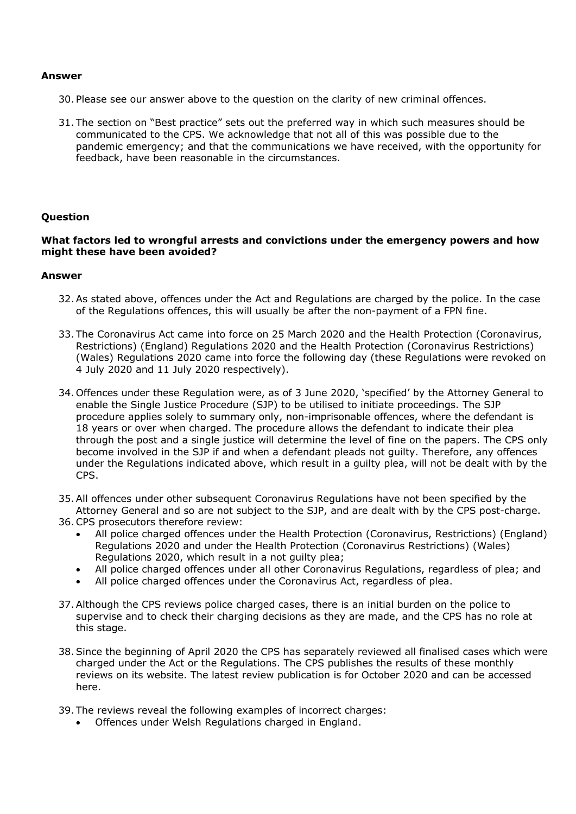#### **Answer**

- 30. Please see our answer above to the question on the clarity of new criminal offences.
- 31. The section on "Best practice" sets out the preferred way in which such measures should be communicated to the CPS. We acknowledge that not all of this was possible due to the pandemic emergency; and that the communications we have received, with the opportunity for feedback, have been reasonable in the circumstances.

## **Question**

## **What factors led to wrongful arrests and convictions under the emergency powers and how might these have been avoided?**

#### **Answer**

- 32.As stated above, offences under the Act and Regulations are charged by the police. In the case of the Regulations offences, this will usually be after the non-payment of a FPN fine.
- 33. The Coronavirus Act came into force on 25 March 2020 and the [Health](https://www.legislation.gov.uk/uksi/2020/350/contents) [Protection](https://www.legislation.gov.uk/uksi/2020/350/contents) [\(Coronavirus,](https://www.legislation.gov.uk/uksi/2020/350/contents) [Restrictions\)](https://www.legislation.gov.uk/uksi/2020/350/contents) [\(England\)](https://www.legislation.gov.uk/uksi/2020/350/contents) [Regulations](https://www.legislation.gov.uk/uksi/2020/350/contents) [2020](https://www.legislation.gov.uk/uksi/2020/350/contents) and the [Health](https://www.legislation.gov.uk/wsi/2020/353/contents) [Protection](https://www.legislation.gov.uk/wsi/2020/353/contents) [\(Coronavirus](https://www.legislation.gov.uk/wsi/2020/353/contents) [Restrictions\)](https://www.legislation.gov.uk/wsi/2020/353/contents) [\(Wales\)](https://www.legislation.gov.uk/wsi/2020/353/contents) [Regulations](https://www.legislation.gov.uk/wsi/2020/353/contents) [2020](https://www.legislation.gov.uk/wsi/2020/353/contents) came into force the following day (these Regulations were revoked on 4 July 2020 and 11 July 2020 respectively).
- 34. Offences under these Regulation were, as of 3 June 2020, 'specified' by the Attorney General to enable the Single Justice Procedure (SJP) to be utilised to initiate proceedings. The SJP procedure applies solely to summary only, non-imprisonable offences, where the defendant is 18 years or over when charged. The procedure allows the defendant to indicate their plea through the post and a single justice will determine the level of fine on the papers. The CPS only become involved in the SJP if and when a defendant pleads not guilty. Therefore, any offences under the Regulations indicated above, which result in a guilty plea, will not be dealt with by the CPS.
- 35.All offences under other subsequent Coronavirus Regulations have not been specified by the Attorney General and so are not subject to the SJP, and are dealt with by the CPS post-charge.
- 36.CPS prosecutors therefore review:
	- All police charged offences under the [Health](https://www.legislation.gov.uk/uksi/2020/350/contents) [Protection](https://www.legislation.gov.uk/uksi/2020/350/contents) [\(Coronavirus,](https://www.legislation.gov.uk/uksi/2020/350/contents) [Restrictions\)](https://www.legislation.gov.uk/uksi/2020/350/contents) [\(England\)](https://www.legislation.gov.uk/uksi/2020/350/contents) [Regulations](https://www.legislation.gov.uk/uksi/2020/350/contents) [2020](https://www.legislation.gov.uk/uksi/2020/350/contents) and under the [Health](https://www.legislation.gov.uk/wsi/2020/353/contents) [Protection](https://www.legislation.gov.uk/wsi/2020/353/contents) [\(Coronavirus](https://www.legislation.gov.uk/wsi/2020/353/contents) [Restrictions\)](https://www.legislation.gov.uk/wsi/2020/353/contents) [\(Wales\)](https://www.legislation.gov.uk/wsi/2020/353/contents) [Regulations](https://www.legislation.gov.uk/wsi/2020/353/contents) [2020,](https://www.legislation.gov.uk/wsi/2020/353/contents) which result in a not guilty plea;
	- All police charged offences under all other Coronavirus Regulations, regardless of plea; and
	- All police charged offences under the Coronavirus Act, regardless of plea.
- 37.Although the CPS reviews police charged cases, there is an initial burden on the police to supervise and to check their charging decisions as they are made, and the CPS has no role at this stage.
- 38.Since the beginning of April 2020 the CPS has separately reviewed all finalised cases which were charged under the Act or the Regulations. The CPS publishes the results of these monthly reviews on its website. The latest review publication is for October 2020 and can be accessed [here](https://www.cps.gov.uk/cps/news/octobers-coronavirus-review-findings).
- 39. The reviews reveal the following examples of incorrect charges:
	- Offences under Welsh Regulations charged in England.